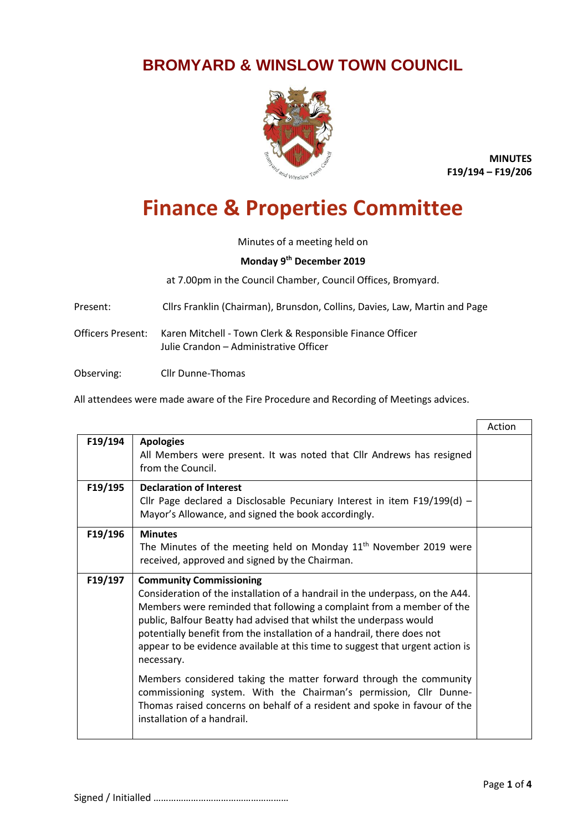## **BROMYARD & WINSLOW TOWN COUNCIL**



**MINUTES F19/194 – F19/206**

## **Finance & Properties Committee**

Minutes of a meeting held on

## **Monday 9 th December 2019**

at 7.00pm in the Council Chamber, Council Offices, Bromyard.

Present: Cllrs Franklin (Chairman), Brunsdon, Collins, Davies, Law, Martin and Page

Officers Present: Karen Mitchell - Town Clerk & Responsible Finance Officer Julie Crandon – Administrative Officer

Observing: Cllr Dunne-Thomas

All attendees were made aware of the Fire Procedure and Recording of Meetings advices.

|         |                                                                                                                                                                                                                                                                                                                                                                                                                                                                                                                                                                                                                                                                                                 | Action |
|---------|-------------------------------------------------------------------------------------------------------------------------------------------------------------------------------------------------------------------------------------------------------------------------------------------------------------------------------------------------------------------------------------------------------------------------------------------------------------------------------------------------------------------------------------------------------------------------------------------------------------------------------------------------------------------------------------------------|--------|
| F19/194 | <b>Apologies</b><br>All Members were present. It was noted that Cllr Andrews has resigned<br>from the Council.                                                                                                                                                                                                                                                                                                                                                                                                                                                                                                                                                                                  |        |
| F19/195 | <b>Declaration of Interest</b><br>Cllr Page declared a Disclosable Pecuniary Interest in item $F19/199(d)$ -<br>Mayor's Allowance, and signed the book accordingly.                                                                                                                                                                                                                                                                                                                                                                                                                                                                                                                             |        |
| F19/196 | <b>Minutes</b><br>The Minutes of the meeting held on Monday $11th$ November 2019 were<br>received, approved and signed by the Chairman.                                                                                                                                                                                                                                                                                                                                                                                                                                                                                                                                                         |        |
| F19/197 | <b>Community Commissioning</b><br>Consideration of the installation of a handrail in the underpass, on the A44.<br>Members were reminded that following a complaint from a member of the<br>public, Balfour Beatty had advised that whilst the underpass would<br>potentially benefit from the installation of a handrail, there does not<br>appear to be evidence available at this time to suggest that urgent action is<br>necessary.<br>Members considered taking the matter forward through the community<br>commissioning system. With the Chairman's permission, Cllr Dunne-<br>Thomas raised concerns on behalf of a resident and spoke in favour of the<br>installation of a handrail. |        |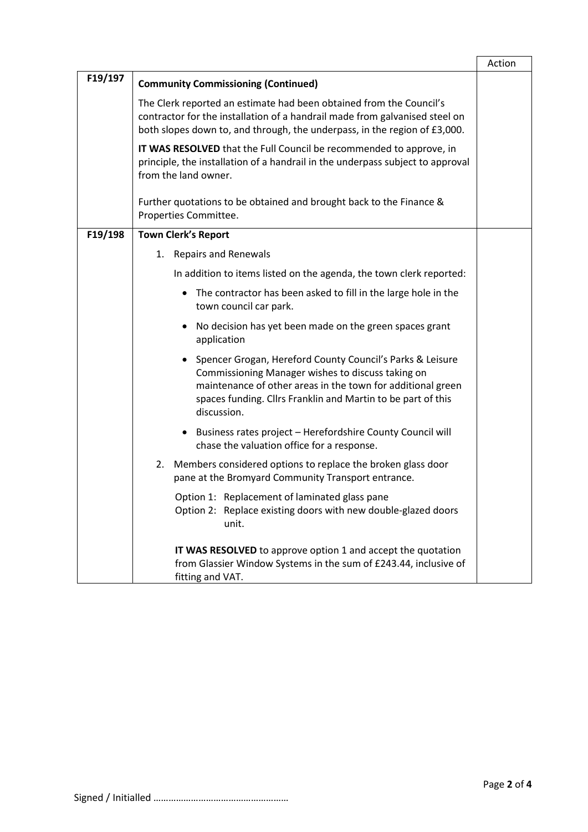|         |                                                                                                                                                                                                                                                                           | Action |
|---------|---------------------------------------------------------------------------------------------------------------------------------------------------------------------------------------------------------------------------------------------------------------------------|--------|
| F19/197 | <b>Community Commissioning (Continued)</b>                                                                                                                                                                                                                                |        |
|         | The Clerk reported an estimate had been obtained from the Council's<br>contractor for the installation of a handrail made from galvanised steel on<br>both slopes down to, and through, the underpass, in the region of £3,000.                                           |        |
|         | IT WAS RESOLVED that the Full Council be recommended to approve, in<br>principle, the installation of a handrail in the underpass subject to approval<br>from the land owner.                                                                                             |        |
|         | Further quotations to be obtained and brought back to the Finance &<br>Properties Committee.                                                                                                                                                                              |        |
| F19/198 | <b>Town Clerk's Report</b>                                                                                                                                                                                                                                                |        |
|         | 1. Repairs and Renewals                                                                                                                                                                                                                                                   |        |
|         | In addition to items listed on the agenda, the town clerk reported:                                                                                                                                                                                                       |        |
|         | • The contractor has been asked to fill in the large hole in the<br>town council car park.                                                                                                                                                                                |        |
|         | No decision has yet been made on the green spaces grant<br>$\bullet$<br>application                                                                                                                                                                                       |        |
|         | Spencer Grogan, Hereford County Council's Parks & Leisure<br>$\bullet$<br>Commissioning Manager wishes to discuss taking on<br>maintenance of other areas in the town for additional green<br>spaces funding. Cllrs Franklin and Martin to be part of this<br>discussion. |        |
|         | • Business rates project - Herefordshire County Council will<br>chase the valuation office for a response.                                                                                                                                                                |        |
|         | 2. Members considered options to replace the broken glass door<br>pane at the Bromyard Community Transport entrance.                                                                                                                                                      |        |
|         | Option 1: Replacement of laminated glass pane<br>Option 2: Replace existing doors with new double-glazed doors<br>unit.                                                                                                                                                   |        |
|         | IT WAS RESOLVED to approve option 1 and accept the quotation<br>from Glassier Window Systems in the sum of £243.44, inclusive of<br>fitting and VAT.                                                                                                                      |        |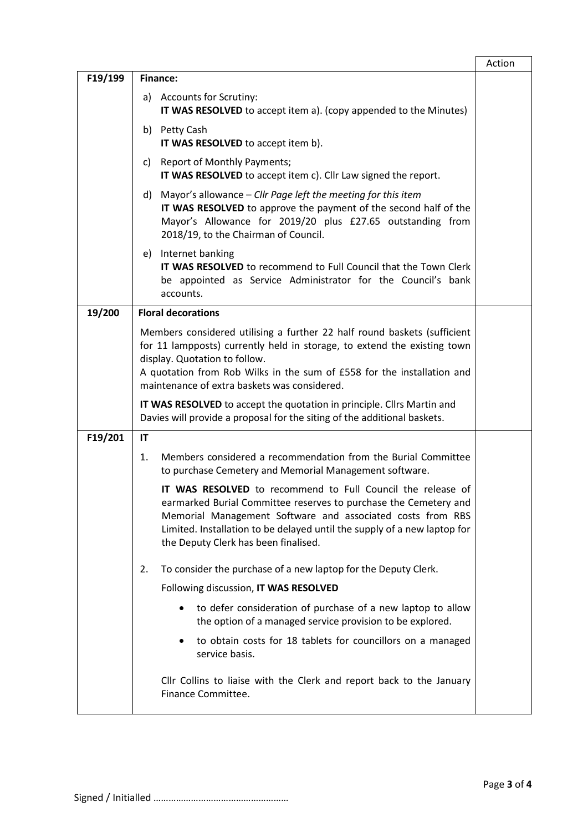|         |                                                                                                                                                                                                                                                                                                                   | Action |
|---------|-------------------------------------------------------------------------------------------------------------------------------------------------------------------------------------------------------------------------------------------------------------------------------------------------------------------|--------|
| F19/199 | Finance:                                                                                                                                                                                                                                                                                                          |        |
|         | a) Accounts for Scrutiny:<br>IT WAS RESOLVED to accept item a). (copy appended to the Minutes)                                                                                                                                                                                                                    |        |
|         | b) Petty Cash<br>IT WAS RESOLVED to accept item b).                                                                                                                                                                                                                                                               |        |
|         | <b>Report of Monthly Payments;</b><br>C)<br>IT WAS RESOLVED to accept item c). Cllr Law signed the report.                                                                                                                                                                                                        |        |
|         | Mayor's allowance - Cllr Page left the meeting for this item<br>d)<br>IT WAS RESOLVED to approve the payment of the second half of the<br>Mayor's Allowance for 2019/20 plus £27.65 outstanding from<br>2018/19, to the Chairman of Council.                                                                      |        |
|         | e) Internet banking<br><b>IT WAS RESOLVED</b> to recommend to Full Council that the Town Clerk<br>be appointed as Service Administrator for the Council's bank<br>accounts.                                                                                                                                       |        |
| 19/200  | <b>Floral decorations</b>                                                                                                                                                                                                                                                                                         |        |
|         | Members considered utilising a further 22 half round baskets (sufficient<br>for 11 lampposts) currently held in storage, to extend the existing town<br>display. Quotation to follow.<br>A quotation from Rob Wilks in the sum of £558 for the installation and<br>maintenance of extra baskets was considered.   |        |
|         | IT WAS RESOLVED to accept the quotation in principle. Cllrs Martin and<br>Davies will provide a proposal for the siting of the additional baskets.                                                                                                                                                                |        |
| F19/201 | IT                                                                                                                                                                                                                                                                                                                |        |
|         | Members considered a recommendation from the Burial Committee<br>1.<br>to purchase Cemetery and Memorial Management software.                                                                                                                                                                                     |        |
|         | IT WAS RESOLVED to recommend to Full Council the release of<br>earmarked Burial Committee reserves to purchase the Cemetery and<br>Memorial Management Software and associated costs from RBS<br>Limited. Installation to be delayed until the supply of a new laptop for<br>the Deputy Clerk has been finalised. |        |
|         | To consider the purchase of a new laptop for the Deputy Clerk.<br>2.                                                                                                                                                                                                                                              |        |
|         | Following discussion, IT WAS RESOLVED                                                                                                                                                                                                                                                                             |        |
|         | to defer consideration of purchase of a new laptop to allow<br>the option of a managed service provision to be explored.                                                                                                                                                                                          |        |
|         | to obtain costs for 18 tablets for councillors on a managed<br>service basis.                                                                                                                                                                                                                                     |        |
|         | Cllr Collins to liaise with the Clerk and report back to the January<br>Finance Committee.                                                                                                                                                                                                                        |        |